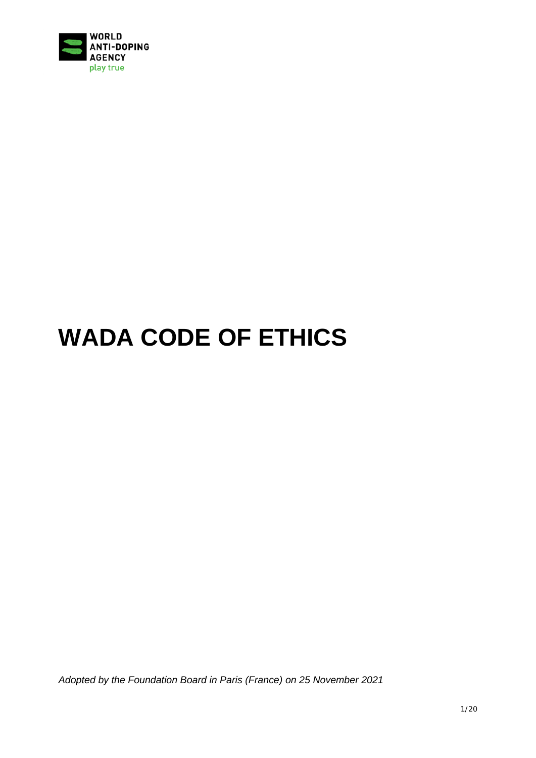

# **WADA CODE OF ETHICS**

*Adopted by the Foundation Board in Paris (France) on 25 November 2021*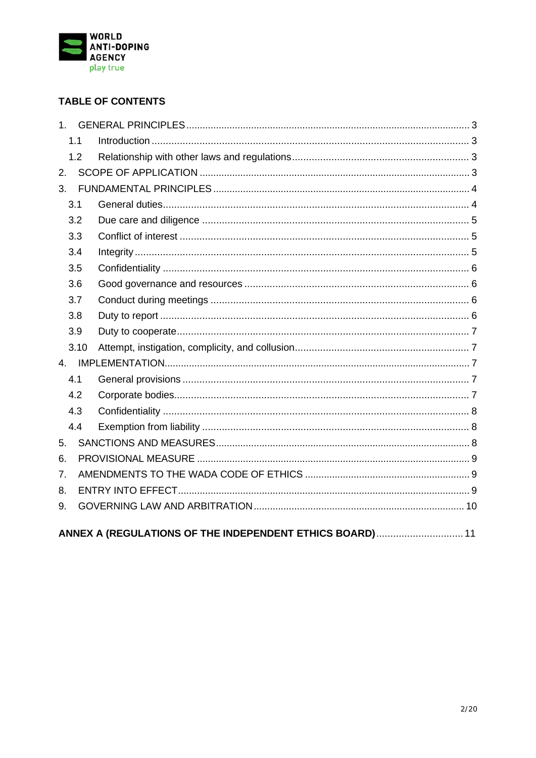

## **TABLE OF CONTENTS**

| 1 <sup>1</sup>                                           |      |  |  |
|----------------------------------------------------------|------|--|--|
|                                                          | 1.1  |  |  |
|                                                          | 1.2  |  |  |
| 2.                                                       |      |  |  |
| 3.                                                       |      |  |  |
|                                                          | 3.1  |  |  |
|                                                          | 3.2  |  |  |
|                                                          | 3.3  |  |  |
|                                                          | 3.4  |  |  |
|                                                          | 3.5  |  |  |
|                                                          | 3.6  |  |  |
|                                                          | 3.7  |  |  |
|                                                          | 3.8  |  |  |
|                                                          | 3.9  |  |  |
|                                                          | 3.10 |  |  |
|                                                          |      |  |  |
|                                                          | 4.1  |  |  |
|                                                          | 4.2  |  |  |
|                                                          | 4.3  |  |  |
|                                                          | 4.4  |  |  |
| 5.                                                       |      |  |  |
| 6.                                                       |      |  |  |
| 7.                                                       |      |  |  |
| 8.                                                       |      |  |  |
| 9.                                                       |      |  |  |
| ANNEX A (REGULATIONS OF THE INDEPENDENT ETHICS BOARD) 11 |      |  |  |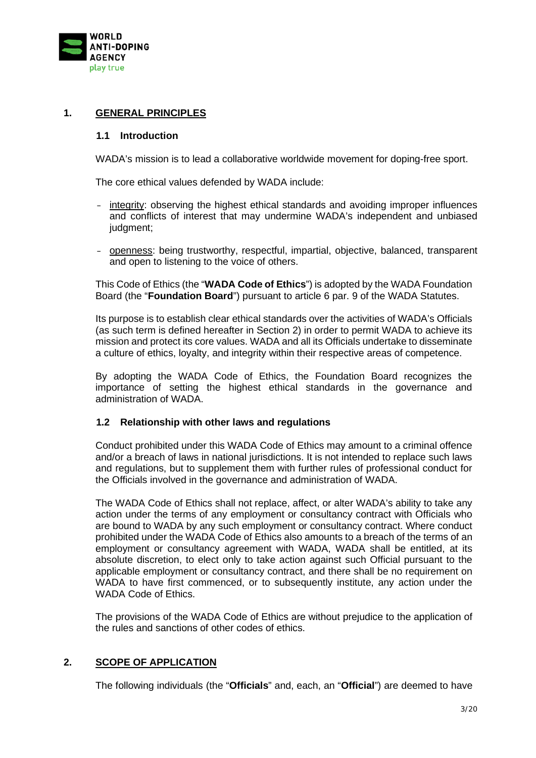

## <span id="page-2-1"></span><span id="page-2-0"></span>**1. GENERAL PRINCIPLES**

#### **1.1 Introduction**

WADA's mission is to lead a collaborative worldwide movement for doping-free sport.

The core ethical values defended by WADA include:

- integrity: observing the highest ethical standards and avoiding improper influences and conflicts of interest that may undermine WADA's independent and unbiased judgment;
- openness: being trustworthy, respectful, impartial, objective, balanced, transparent and open to listening to the voice of others.

This Code of Ethics (the "**WADA Code of Ethics**") is adopted by the WADA Foundation Board (the "**Foundation Board**") pursuant to article 6 par. 9 of the WADA Statutes.

Its purpose is to establish clear ethical standards over the activities of WADA's Officials (as such term is defined hereafter in Section [2\)](#page-2-3) in order to permit WADA to achieve its mission and protect its core values. WADA and all its Officials undertake to disseminate a culture of ethics, loyalty, and integrity within their respective areas of competence.

By adopting the WADA Code of Ethics, the Foundation Board recognizes the importance of setting the highest ethical standards in the governance and administration of WADA.

## <span id="page-2-2"></span>**1.2 Relationship with other laws and regulations**

Conduct prohibited under this WADA Code of Ethics may amount to a criminal offence and/or a breach of laws in national jurisdictions. It is not intended to replace such laws and regulations, but to supplement them with further rules of professional conduct for the Officials involved in the governance and administration of WADA.

The WADA Code of Ethics shall not replace, affect, or alter WADA's ability to take any action under the terms of any employment or consultancy contract with Officials who are bound to WADA by any such employment or consultancy contract. Where conduct prohibited under the WADA Code of Ethics also amounts to a breach of the terms of an employment or consultancy agreement with WADA, WADA shall be entitled, at its absolute discretion, to elect only to take action against such Official pursuant to the applicable employment or consultancy contract, and there shall be no requirement on WADA to have first commenced, or to subsequently institute, any action under the WADA Code of Ethics.

The provisions of the WADA Code of Ethics are without prejudice to the application of the rules and sanctions of other codes of ethics.

## <span id="page-2-3"></span>**2. SCOPE OF APPLICATION**

The following individuals (the "**Officials**" and, each, an "**Official**") are deemed to have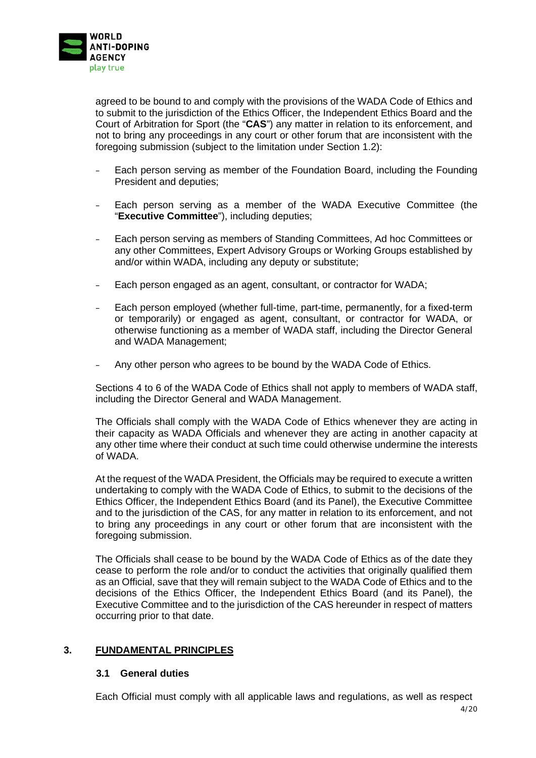

agreed to be bound to and comply with the provisions of the WADA Code of Ethics and to submit to the jurisdiction of the Ethics Officer, the Independent Ethics Board and the Court of Arbitration for Sport (the "**CAS**") any matter in relation to its enforcement, and not to bring any proceedings in any court or other forum that are inconsistent with the foregoing submission (subject to the limitation under Section [1.2\)](#page-2-2):

- Each person serving as member of the Foundation Board, including the Founding President and deputies;
- Each person serving as a member of the WADA Executive Committee (the "**Executive Committee**"), including deputies;
- Each person serving as members of Standing Committees, Ad hoc Committees or any other Committees, Expert Advisory Groups or Working Groups established by and/or within WADA, including any deputy or substitute;
- Each person engaged as an agent, consultant, or contractor for WADA;
- Each person employed (whether full-time, part-time, permanently, for a fixed-term or temporarily) or engaged as agent, consultant, or contractor for WADA, or otherwise functioning as a member of WADA staff, including the Director General and WADA Management;
- Any other person who agrees to be bound by the WADA Code of Ethics.

Sections [4](#page-6-2) to [6](#page-8-0) of the WADA Code of Ethics shall not apply to members of WADA staff, including the Director General and WADA Management.

The Officials shall comply with the WADA Code of Ethics whenever they are acting in their capacity as WADA Officials and whenever they are acting in another capacity at any other time where their conduct at such time could otherwise undermine the interests of WADA.

At the request of the WADA President, the Officials may be required to execute a written undertaking to comply with the WADA Code of Ethics, to submit to the decisions of the Ethics Officer, the Independent Ethics Board (and its Panel), the Executive Committee and to the jurisdiction of the CAS, for any matter in relation to its enforcement, and not to bring any proceedings in any court or other forum that are inconsistent with the foregoing submission.

The Officials shall cease to be bound by the WADA Code of Ethics as of the date they cease to perform the role and/or to conduct the activities that originally qualified them as an Official, save that they will remain subject to the WADA Code of Ethics and to the decisions of the Ethics Officer, the Independent Ethics Board (and its Panel), the Executive Committee and to the jurisdiction of the CAS hereunder in respect of matters occurring prior to that date.

## <span id="page-3-1"></span><span id="page-3-0"></span>**3. FUNDAMENTAL PRINCIPLES**

#### **3.1 General duties**

Each Official must comply with all applicable laws and regulations, as well as respect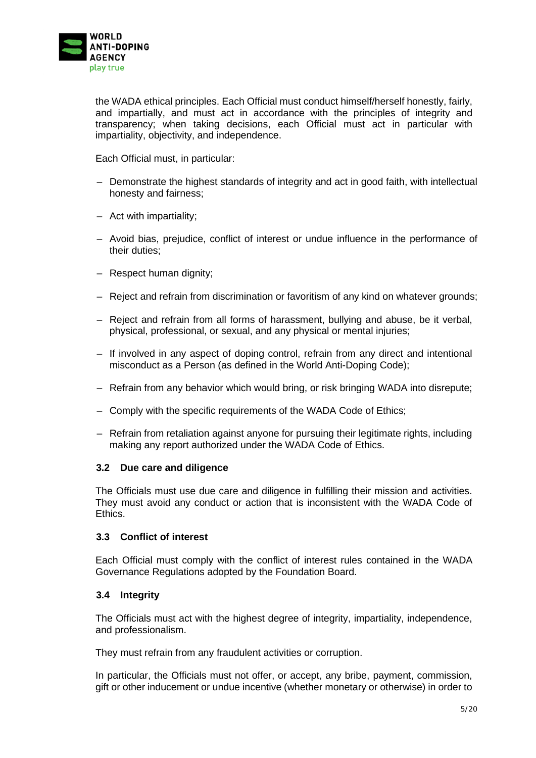

the WADA ethical principles. Each Official must conduct himself/herself honestly, fairly, and impartially, and must act in accordance with the principles of integrity and transparency; when taking decisions, each Official must act in particular with impartiality, objectivity, and independence.

Each Official must, in particular:

- Demonstrate the highest standards of integrity and act in good faith, with intellectual honesty and fairness;
- Act with impartiality;
- Avoid bias, prejudice, conflict of interest or undue influence in the performance of their duties;
- Respect human dignity;
- Reject and refrain from discrimination or favoritism of any kind on whatever grounds;
- Reject and refrain from all forms of harassment, bullying and abuse, be it verbal, physical, professional, or sexual, and any physical or mental injuries;
- If involved in any aspect of doping control, refrain from any direct and intentional misconduct as a Person (as defined in the World Anti-Doping Code);
- Refrain from any behavior which would bring, or risk bringing WADA into disrepute;
- Comply with the specific requirements of the WADA Code of Ethics;
- Refrain from retaliation against anyone for pursuing their legitimate rights, including making any report authorized under the WADA Code of Ethics.

#### <span id="page-4-0"></span>**3.2 Due care and diligence**

The Officials must use due care and diligence in fulfilling their mission and activities. They must avoid any conduct or action that is inconsistent with the WADA Code of Ethics.

## <span id="page-4-1"></span>**3.3 Conflict of interest**

Each Official must comply with the conflict of interest rules contained in the WADA Governance Regulations adopted by the Foundation Board.

#### <span id="page-4-2"></span>**3.4 Integrity**

The Officials must act with the highest degree of integrity, impartiality, independence, and professionalism.

They must refrain from any fraudulent activities or corruption.

In particular, the Officials must not offer, or accept, any bribe, payment, commission, gift or other inducement or undue incentive (whether monetary or otherwise) in order to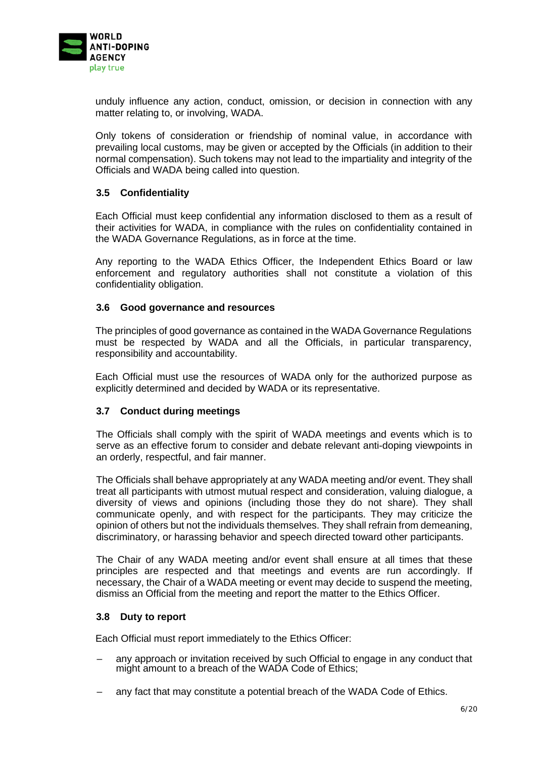

unduly influence any action, conduct, omission, or decision in connection with any matter relating to, or involving, WADA.

Only tokens of consideration or friendship of nominal value, in accordance with prevailing local customs, may be given or accepted by the Officials (in addition to their normal compensation). Such tokens may not lead to the impartiality and integrity of the Officials and WADA being called into question.

#### <span id="page-5-0"></span>**3.5 Confidentiality**

Each Official must keep confidential any information disclosed to them as a result of their activities for WADA, in compliance with the rules on confidentiality contained in the WADA Governance Regulations, as in force at the time.

Any reporting to the WADA Ethics Officer, the Independent Ethics Board or law enforcement and regulatory authorities shall not constitute a violation of this confidentiality obligation.

#### <span id="page-5-1"></span>**3.6 Good governance and resources**

The principles of good governance as contained in the WADA Governance Regulations must be respected by WADA and all the Officials, in particular transparency, responsibility and accountability.

Each Official must use the resources of WADA only for the authorized purpose as explicitly determined and decided by WADA or its representative.

## <span id="page-5-2"></span>**3.7 Conduct during meetings**

The Officials shall comply with the spirit of WADA meetings and events which is to serve as an effective forum to consider and debate relevant anti-doping viewpoints in an orderly, respectful, and fair manner.

The Officials shall behave appropriately at any WADA meeting and/or event. They shall treat all participants with utmost mutual respect and consideration, valuing dialogue, a diversity of views and opinions (including those they do not share). They shall communicate openly, and with respect for the participants. They may criticize the opinion of others but not the individuals themselves. They shall refrain from demeaning, discriminatory, or harassing behavior and speech directed toward other participants.

The Chair of any WADA meeting and/or event shall ensure at all times that these principles are respected and that meetings and events are run accordingly. If necessary, the Chair of a WADA meeting or event may decide to suspend the meeting, dismiss an Official from the meeting and report the matter to the Ethics Officer.

#### <span id="page-5-3"></span>**3.8 Duty to report**

Each Official must report immediately to the Ethics Officer:

- any approach or invitation received by such Official to engage in any conduct that might amount to a breach of the WADA Code of Ethics;
- any fact that may constitute a potential breach of the WADA Code of Ethics.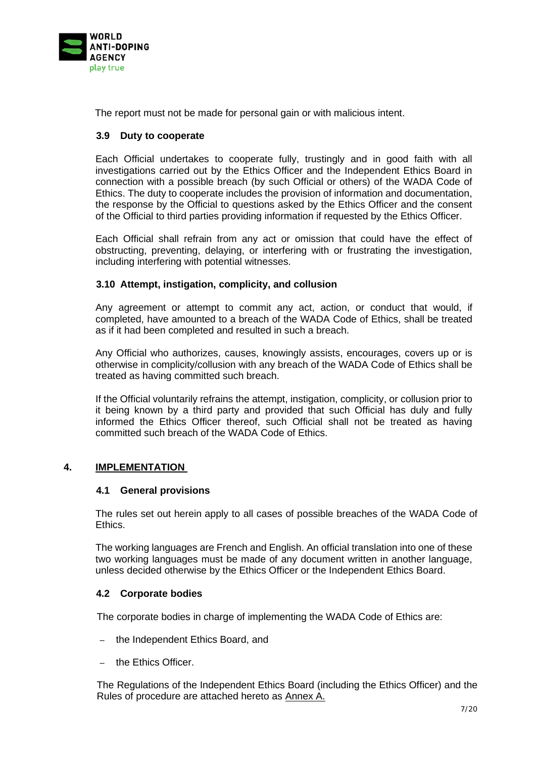

The report must not be made for personal gain or with malicious intent.

## <span id="page-6-0"></span>**3.9 Duty to cooperate**

Each Official undertakes to cooperate fully, trustingly and in good faith with all investigations carried out by the Ethics Officer and the Independent Ethics Board in connection with a possible breach (by such Official or others) of the WADA Code of Ethics. The duty to cooperate includes the provision of information and documentation, the response by the Official to questions asked by the Ethics Officer and the consent of the Official to third parties providing information if requested by the Ethics Officer.

Each Official shall refrain from any act or omission that could have the effect of obstructing, preventing, delaying, or interfering with or frustrating the investigation, including interfering with potential witnesses.

#### <span id="page-6-1"></span>**3.10 Attempt, instigation, complicity, and collusion**

Any agreement or attempt to commit any act, action, or conduct that would, if completed, have amounted to a breach of the WADA Code of Ethics, shall be treated as if it had been completed and resulted in such a breach.

Any Official who authorizes, causes, knowingly assists, encourages, covers up or is otherwise in complicity/collusion with any breach of the WADA Code of Ethics shall be treated as having committed such breach.

If the Official voluntarily refrains the attempt, instigation, complicity, or collusion prior to it being known by a third party and provided that such Official has duly and fully informed the Ethics Officer thereof, such Official shall not be treated as having committed such breach of the WADA Code of Ethics.

## <span id="page-6-3"></span><span id="page-6-2"></span>**4. IMPLEMENTATION**

## **4.1 General provisions**

The rules set out herein apply to all cases of possible breaches of the WADA Code of Ethics.

The working languages are French and English. An official translation into one of these two working languages must be made of any document written in another language, unless decided otherwise by the Ethics Officer or the Independent Ethics Board.

## <span id="page-6-4"></span>**4.2 Corporate bodies**

The corporate bodies in charge of implementing the WADA Code of Ethics are:

- the Independent Ethics Board, and
- the Ethics Officer.

The Regulations of the Independent Ethics Board (including the Ethics Officer) and the Rules of procedure are attached hereto as Annex A.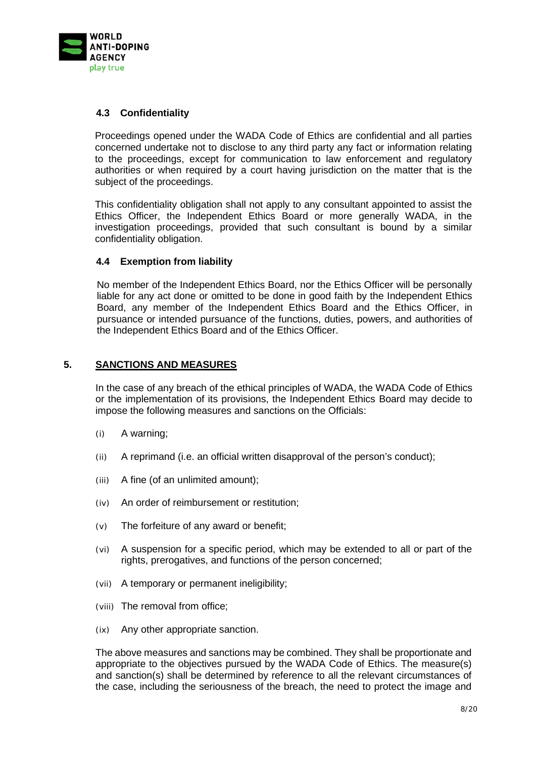

## <span id="page-7-0"></span>**4.3 Confidentiality**

Proceedings opened under the WADA Code of Ethics are confidential and all parties concerned undertake not to disclose to any third party any fact or information relating to the proceedings, except for communication to law enforcement and regulatory authorities or when required by a court having jurisdiction on the matter that is the subject of the proceedings.

This confidentiality obligation shall not apply to any consultant appointed to assist the Ethics Officer, the Independent Ethics Board or more generally WADA, in the investigation proceedings, provided that such consultant is bound by a similar confidentiality obligation.

## <span id="page-7-1"></span>**4.4 Exemption from liability**

No member of the Independent Ethics Board, nor the Ethics Officer will be personally liable for any act done or omitted to be done in good faith by the Independent Ethics Board, any member of the Independent Ethics Board and the Ethics Officer, in pursuance or intended pursuance of the functions, duties, powers, and authorities of the Independent Ethics Board and of the Ethics Officer.

## <span id="page-7-2"></span>**5. SANCTIONS AND MEASURES**

In the case of any breach of the ethical principles of WADA, the WADA Code of Ethics or the implementation of its provisions, the Independent Ethics Board may decide to impose the following measures and sanctions on the Officials:

- (i) A warning;
- (ii) A reprimand (i.e. an official written disapproval of the person's conduct);
- (iii) A fine (of an unlimited amount);
- (iv) An order of reimbursement or restitution;
- (v) The forfeiture of any award or benefit;
- (vi) A suspension for a specific period, which may be extended to all or part of the rights, prerogatives, and functions of the person concerned;
- (vii) A temporary or permanent ineligibility;
- (viii) The removal from office;
- (ix) Any other appropriate sanction.

The above measures and sanctions may be combined. They shall be proportionate and appropriate to the objectives pursued by the WADA Code of Ethics. The measure(s) and sanction(s) shall be determined by reference to all the relevant circumstances of the case, including the seriousness of the breach, the need to protect the image and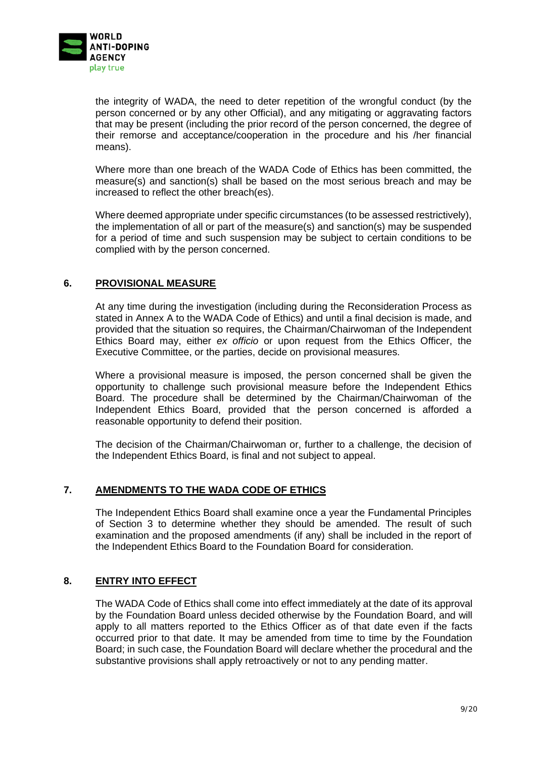

the integrity of WADA, the need to deter repetition of the wrongful conduct (by the person concerned or by any other Official), and any mitigating or aggravating factors that may be present (including the prior record of the person concerned, the degree of their remorse and acceptance/cooperation in the procedure and his /her financial means).

Where more than one breach of the WADA Code of Ethics has been committed, the measure(s) and sanction(s) shall be based on the most serious breach and may be increased to reflect the other breach(es).

Where deemed appropriate under specific circumstances (to be assessed restrictively), the implementation of all or part of the measure(s) and sanction(s) may be suspended for a period of time and such suspension may be subject to certain conditions to be complied with by the person concerned.

## <span id="page-8-0"></span>**6. PROVISIONAL MEASURE**

At any time during the investigation (including during the Reconsideration Process as stated in Annex A to the WADA Code of Ethics) and until a final decision is made, and provided that the situation so requires, the Chairman/Chairwoman of the Independent Ethics Board may, either *ex officio* or upon request from the Ethics Officer, the Executive Committee, or the parties, decide on provisional measures.

Where a provisional measure is imposed, the person concerned shall be given the opportunity to challenge such provisional measure before the Independent Ethics Board. The procedure shall be determined by the Chairman/Chairwoman of the Independent Ethics Board, provided that the person concerned is afforded a reasonable opportunity to defend their position.

The decision of the Chairman/Chairwoman or, further to a challenge, the decision of the Independent Ethics Board, is final and not subject to appeal.

## <span id="page-8-1"></span>**7. AMENDMENTS TO THE WADA CODE OF ETHICS**

The Independent Ethics Board shall examine once a year the Fundamental Principles of Section [3](#page-3-0) to determine whether they should be amended. The result of such examination and the proposed amendments (if any) shall be included in the report of the Independent Ethics Board to the Foundation Board for consideration.

## <span id="page-8-2"></span>**8. ENTRY INTO EFFECT**

The WADA Code of Ethics shall come into effect immediately at the date of its approval by the Foundation Board unless decided otherwise by the Foundation Board, and will apply to all matters reported to the Ethics Officer as of that date even if the facts occurred prior to that date. It may be amended from time to time by the Foundation Board; in such case, the Foundation Board will declare whether the procedural and the substantive provisions shall apply retroactively or not to any pending matter.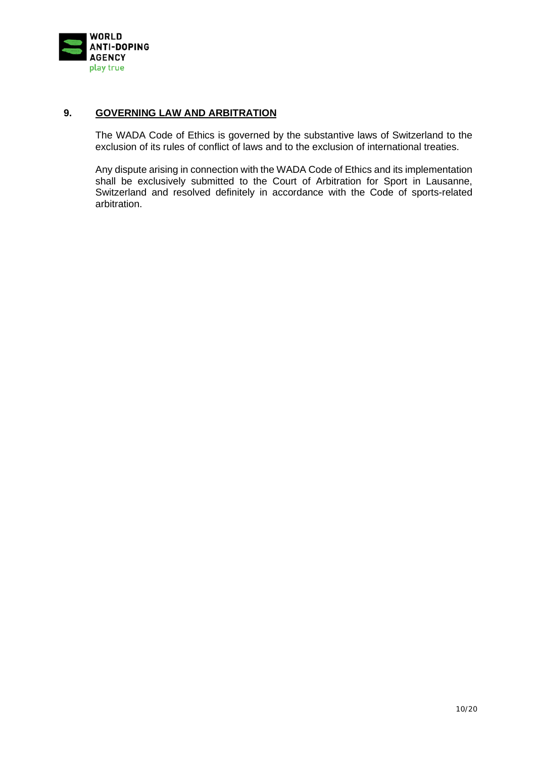

## <span id="page-9-0"></span>**9. GOVERNING LAW AND ARBITRATION**

The WADA Code of Ethics is governed by the substantive laws of Switzerland to the exclusion of its rules of conflict of laws and to the exclusion of international treaties.

Any dispute arising in connection with the WADA Code of Ethics and its implementation shall be exclusively submitted to the Court of Arbitration for Sport in Lausanne, Switzerland and resolved definitely in accordance with the Code of sports-related arbitration.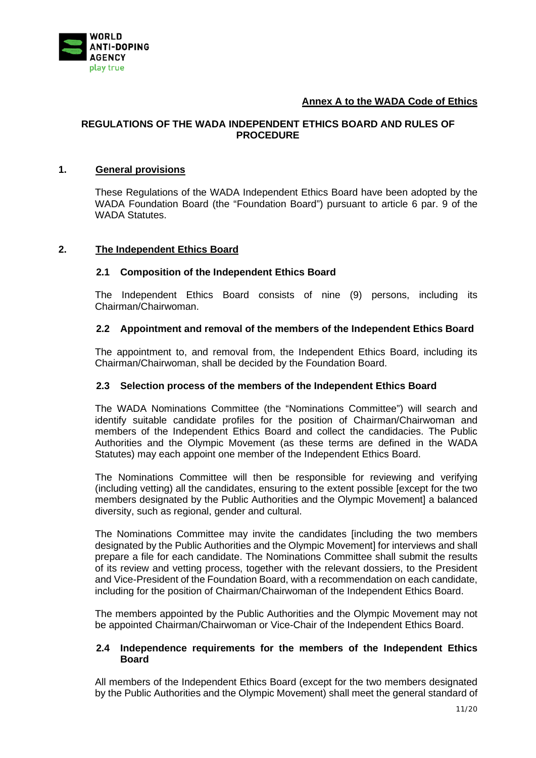

## **Annex A to the WADA Code of Ethics**

#### **REGULATIONS OF THE WADA INDEPENDENT ETHICS BOARD AND RULES OF PROCEDURE**

#### **1. General provisions**

These Regulations of the WADA Independent Ethics Board have been adopted by the WADA Foundation Board (the "Foundation Board") pursuant to article 6 par. 9 of the WADA Statutes.

#### **2. The Independent Ethics Board**

#### **2.1 Composition of the Independent Ethics Board**

The Independent Ethics Board consists of nine (9) persons, including its Chairman/Chairwoman.

#### **2.2 Appointment and removal of the members of the Independent Ethics Board**

The appointment to, and removal from, the Independent Ethics Board, including its Chairman/Chairwoman, shall be decided by the Foundation Board.

#### **2.3 Selection process of the members of the Independent Ethics Board**

The WADA Nominations Committee (the "Nominations Committee") will search and identify suitable candidate profiles for the position of Chairman/Chairwoman and members of the Independent Ethics Board and collect the candidacies. The Public Authorities and the Olympic Movement (as these terms are defined in the WADA Statutes) may each appoint one member of the Independent Ethics Board.

The Nominations Committee will then be responsible for reviewing and verifying (including vetting) all the candidates, ensuring to the extent possible [except for the two members designated by the Public Authorities and the Olympic Movement] a balanced diversity, such as regional, gender and cultural.

The Nominations Committee may invite the candidates [including the two members designated by the Public Authorities and the Olympic Movement] for interviews and shall prepare a file for each candidate. The Nominations Committee shall submit the results of its review and vetting process, together with the relevant dossiers, to the President and Vice-President of the Foundation Board, with a recommendation on each candidate, including for the position of Chairman/Chairwoman of the Independent Ethics Board.

The members appointed by the Public Authorities and the Olympic Movement may not be appointed Chairman/Chairwoman or Vice-Chair of the Independent Ethics Board.

#### **2.4 Independence requirements for the members of the Independent Ethics Board**

All members of the Independent Ethics Board (except for the two members designated by the Public Authorities and the Olympic Movement) shall meet the general standard of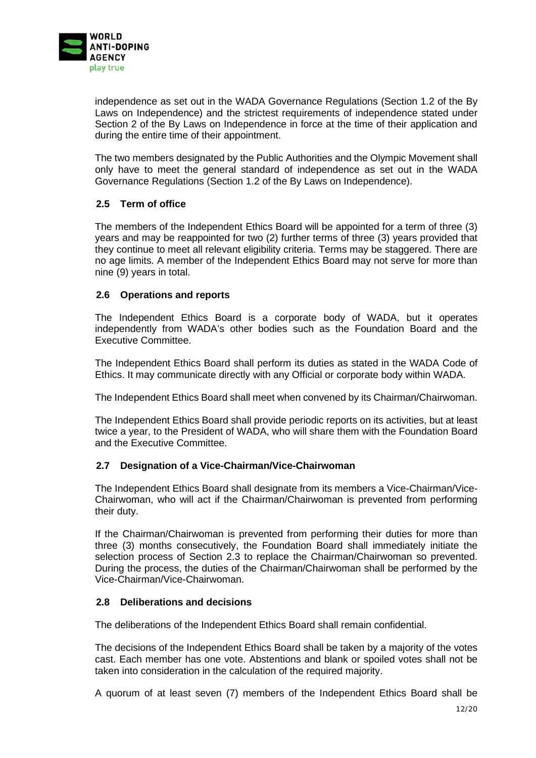

independence as set out in the WADA Governance Regulations (Section 1.2 of the By Laws on Independence) and the strictest requirements of independence stated under Section 2 of the By Laws on Independence in force at the time of their application and during the entire time of their appointment.

The two members designated by the Public Authorities and the Olympic Movement shall only have to meet the general standard of independence as set out in the WADA Governance Regulations (Section 1.2 of the By Laws on Independence).

## **2.5 Term of office**

The members of the Independent Ethics Board will be appointed for a term of three (3) years and may be reappointed for two (2) further terms of three (3) years provided that they continue to meet all relevant eligibility criteria. Terms may be staggered. There are no age limits. A member of the Independent Ethics Board may not serve for more than nine (9) years in total.

## **2.6 Operations and reports**

The Independent Ethics Board is a corporate body of WADA, but it operates independently from WADA's other bodies such as the Foundation Board and the Executive Committee.

The Independent Ethics Board shall perform its duties as stated in the WADA Code of Ethics. It may communicate directly with any Official or corporate body within WADA.

The Independent Ethics Board shall meet when convened by its Chairman/Chairwoman.

The Independent Ethics Board shall provide periodic reports on its activities, but at least twice a year, to the President of WADA, who will share them with the Foundation Board and the Executive Committee.

## **2.7 Designation of a Vice-Chairman/Vice-Chairwoman**

The Independent Ethics Board shall designate from its members a Vice-Chairman/Vice-Chairwoman, who will act if the Chairman/Chairwoman is prevented from performing their duty.

If the Chairman/Chairwoman is prevented from performing their duties for more than three (3) months consecutively, the Foundation Board shall immediately initiate the selection process of Section 2.3 to replace the Chairman/Chairwoman so prevented. During the process, the duties of the Chairman/Chairwoman shall be performed by the Vice-Chairman/Vice-Chairwoman.

## **2.8 Deliberations and decisions**

The deliberations of the Independent Ethics Board shall remain confidential.

The decisions of the Independent Ethics Board shall be taken by a majority of the votes cast. Each member has one vote. Abstentions and blank or spoiled votes shall not be taken into consideration in the calculation of the required majority.

A quorum of at least seven (7) members of the Independent Ethics Board shall be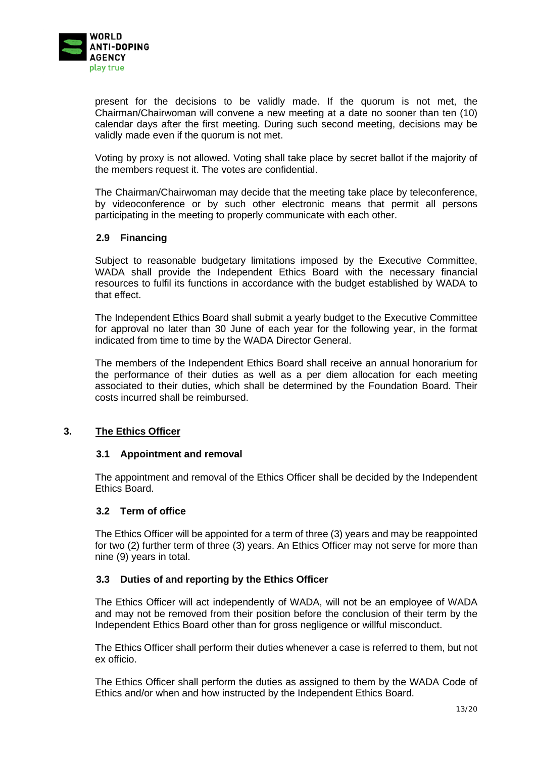

present for the decisions to be validly made. If the quorum is not met, the Chairman/Chairwoman will convene a new meeting at a date no sooner than ten (10) calendar days after the first meeting. During such second meeting, decisions may be validly made even if the quorum is not met.

Voting by proxy is not allowed. Voting shall take place by secret ballot if the majority of the members request it. The votes are confidential.

The Chairman/Chairwoman may decide that the meeting take place by teleconference, by videoconference or by such other electronic means that permit all persons participating in the meeting to properly communicate with each other.

## **2.9 Financing**

Subject to reasonable budgetary limitations imposed by the Executive Committee, WADA shall provide the Independent Ethics Board with the necessary financial resources to fulfil its functions in accordance with the budget established by WADA to that effect.

The Independent Ethics Board shall submit a yearly budget to the Executive Committee for approval no later than 30 June of each year for the following year, in the format indicated from time to time by the WADA Director General.

The members of the Independent Ethics Board shall receive an annual honorarium for the performance of their duties as well as a per diem allocation for each meeting associated to their duties, which shall be determined by the Foundation Board. Their costs incurred shall be reimbursed.

## **3. The Ethics Officer**

#### **3.1 Appointment and removal**

The appointment and removal of the Ethics Officer shall be decided by the Independent Ethics Board.

#### **3.2 Term of office**

The Ethics Officer will be appointed for a term of three (3) years and may be reappointed for two (2) further term of three (3) years. An Ethics Officer may not serve for more than nine (9) years in total.

## **3.3 Duties of and reporting by the Ethics Officer**

The Ethics Officer will act independently of WADA, will not be an employee of WADA and may not be removed from their position before the conclusion of their term by the Independent Ethics Board other than for gross negligence or willful misconduct.

The Ethics Officer shall perform their duties whenever a case is referred to them, but not ex officio.

The Ethics Officer shall perform the duties as assigned to them by the WADA Code of Ethics and/or when and how instructed by the Independent Ethics Board.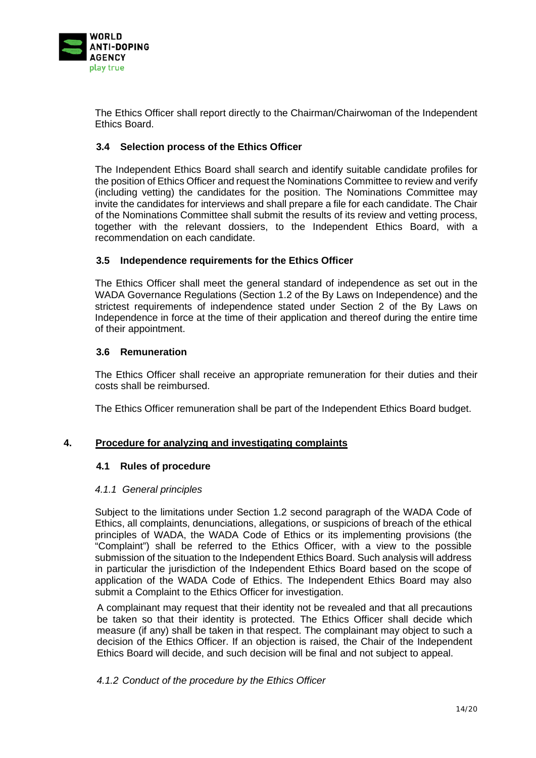

The Ethics Officer shall report directly to the Chairman/Chairwoman of the Independent Ethics Board.

## **3.4 Selection process of the Ethics Officer**

The Independent Ethics Board shall search and identify suitable candidate profiles for the position of Ethics Officer and request the Nominations Committee to review and verify (including vetting) the candidates for the position. The Nominations Committee may invite the candidates for interviews and shall prepare a file for each candidate. The Chair of the Nominations Committee shall submit the results of its review and vetting process, together with the relevant dossiers, to the Independent Ethics Board, with a recommendation on each candidate.

## **3.5 Independence requirements for the Ethics Officer**

The Ethics Officer shall meet the general standard of independence as set out in the WADA Governance Regulations (Section 1.2 of the By Laws on Independence) and the strictest requirements of independence stated under Section 2 of the By Laws on Independence in force at the time of their application and thereof during the entire time of their appointment.

## **3.6 Remuneration**

The Ethics Officer shall receive an appropriate remuneration for their duties and their costs shall be reimbursed.

The Ethics Officer remuneration shall be part of the Independent Ethics Board budget.

## **4. Procedure for analyzing and investigating complaints**

## **4.1 Rules of procedure**

## *4.1.1 General principles*

Subject to the limitations under Section 1.2 second paragraph of the WADA Code of Ethics, all complaints, denunciations, allegations, or suspicions of breach of the ethical principles of WADA, the WADA Code of Ethics or its implementing provisions (the "Complaint") shall be referred to the Ethics Officer, with a view to the possible submission of the situation to the Independent Ethics Board. Such analysis will address in particular the jurisdiction of the Independent Ethics Board based on the scope of application of the WADA Code of Ethics. The Independent Ethics Board may also submit a Complaint to the Ethics Officer for investigation.

A complainant may request that their identity not be revealed and that all precautions be taken so that their identity is protected. The Ethics Officer shall decide which measure (if any) shall be taken in that respect. The complainant may object to such a decision of the Ethics Officer. If an objection is raised, the Chair of the Independent Ethics Board will decide, and such decision will be final and not subject to appeal.

## *4.1.2 Conduct of the procedure by the Ethics Officer*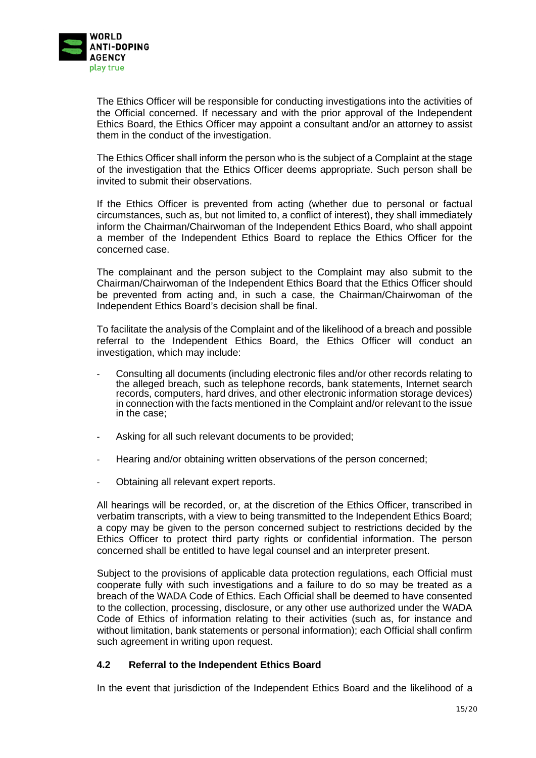

The Ethics Officer will be responsible for conducting investigations into the activities of the Official concerned. If necessary and with the prior approval of the Independent Ethics Board, the Ethics Officer may appoint a consultant and/or an attorney to assist them in the conduct of the investigation.

The Ethics Officer shall inform the person who is the subject of a Complaint at the stage of the investigation that the Ethics Officer deems appropriate. Such person shall be invited to submit their observations.

If the Ethics Officer is prevented from acting (whether due to personal or factual circumstances, such as, but not limited to, a conflict of interest), they shall immediately inform the Chairman/Chairwoman of the Independent Ethics Board, who shall appoint a member of the Independent Ethics Board to replace the Ethics Officer for the concerned case.

The complainant and the person subject to the Complaint may also submit to the Chairman/Chairwoman of the Independent Ethics Board that the Ethics Officer should be prevented from acting and, in such a case, the Chairman/Chairwoman of the Independent Ethics Board's decision shall be final.

To facilitate the analysis of the Complaint and of the likelihood of a breach and possible referral to the Independent Ethics Board, the Ethics Officer will conduct an investigation, which may include:

- Consulting all documents (including electronic files and/or other records relating to the alleged breach, such as telephone records, bank statements, Internet search records, computers, hard drives, and other electronic information storage devices) in connection with the facts mentioned in the Complaint and/or relevant to the issue in the case;
- Asking for all such relevant documents to be provided;
- Hearing and/or obtaining written observations of the person concerned;
- Obtaining all relevant expert reports.

All hearings will be recorded, or, at the discretion of the Ethics Officer, transcribed in verbatim transcripts, with a view to being transmitted to the Independent Ethics Board; a copy may be given to the person concerned subject to restrictions decided by the Ethics Officer to protect third party rights or confidential information. The person concerned shall be entitled to have legal counsel and an interpreter present.

Subject to the provisions of applicable data protection regulations, each Official must cooperate fully with such investigations and a failure to do so may be treated as a breach of the WADA Code of Ethics. Each Official shall be deemed to have consented to the collection, processing, disclosure, or any other use authorized under the WADA Code of Ethics of information relating to their activities (such as, for instance and without limitation, bank statements or personal information); each Official shall confirm such agreement in writing upon request.

## **4.2 Referral to the Independent Ethics Board**

In the event that jurisdiction of the Independent Ethics Board and the likelihood of a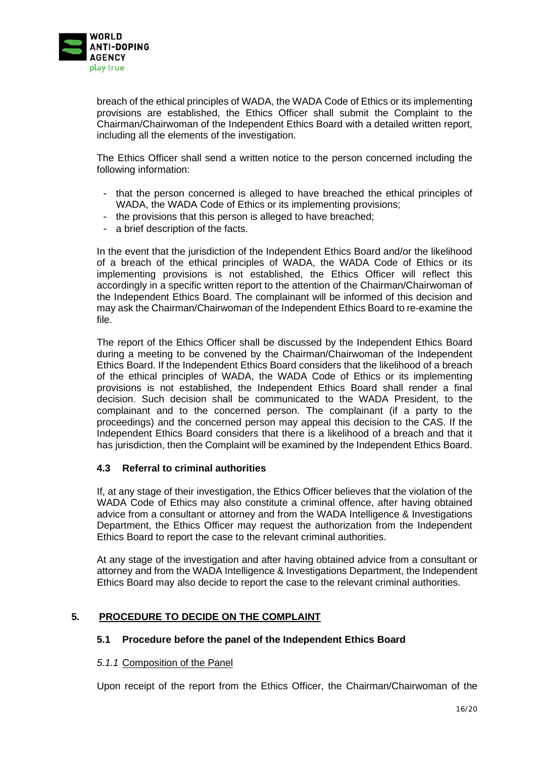

breach of the ethical principles of WADA, the WADA Code of Ethics or its implementing provisions are established, the Ethics Officer shall submit the Complaint to the Chairman/Chairwoman of the Independent Ethics Board with a detailed written report, including all the elements of the investigation.

The Ethics Officer shall send a written notice to the person concerned including the following information:

- that the person concerned is alleged to have breached the ethical principles of WADA, the WADA Code of Ethics or its implementing provisions;
- the provisions that this person is alleged to have breached;
- a brief description of the facts.

In the event that the jurisdiction of the Independent Ethics Board and/or the likelihood of a breach of the ethical principles of WADA, the WADA Code of Ethics or its implementing provisions is not established, the Ethics Officer will reflect this accordingly in a specific written report to the attention of the Chairman/Chairwoman of the Independent Ethics Board. The complainant will be informed of this decision and may ask the Chairman/Chairwoman of the Independent Ethics Board to re-examine the file.

The report of the Ethics Officer shall be discussed by the Independent Ethics Board during a meeting to be convened by the Chairman/Chairwoman of the Independent Ethics Board. If the Independent Ethics Board considers that the likelihood of a breach of the ethical principles of WADA, the WADA Code of Ethics or its implementing provisions is not established, the Independent Ethics Board shall render a final decision. Such decision shall be communicated to the WADA President, to the complainant and to the concerned person. The complainant (if a party to the proceedings) and the concerned person may appeal this decision to the CAS. If the Independent Ethics Board considers that there is a likelihood of a breach and that it has jurisdiction, then the Complaint will be examined by the Independent Ethics Board.

## **4.3 Referral to criminal authorities**

If, at any stage of their investigation, the Ethics Officer believes that the violation of the WADA Code of Ethics may also constitute a criminal offence, after having obtained advice from a consultant or attorney and from the WADA Intelligence & Investigations Department, the Ethics Officer may request the authorization from the Independent Ethics Board to report the case to the relevant criminal authorities.

At any stage of the investigation and after having obtained advice from a consultant or attorney and from the WADA Intelligence & Investigations Department, the Independent Ethics Board may also decide to report the case to the relevant criminal authorities.

## <span id="page-15-0"></span>**5. PROCEDURE TO DECIDE ON THE COMPLAINT**

## **5.1 Procedure before the panel of the Independent Ethics Board**

#### *5.1.1* Composition of the Panel

Upon receipt of the report from the Ethics Officer, the Chairman/Chairwoman of the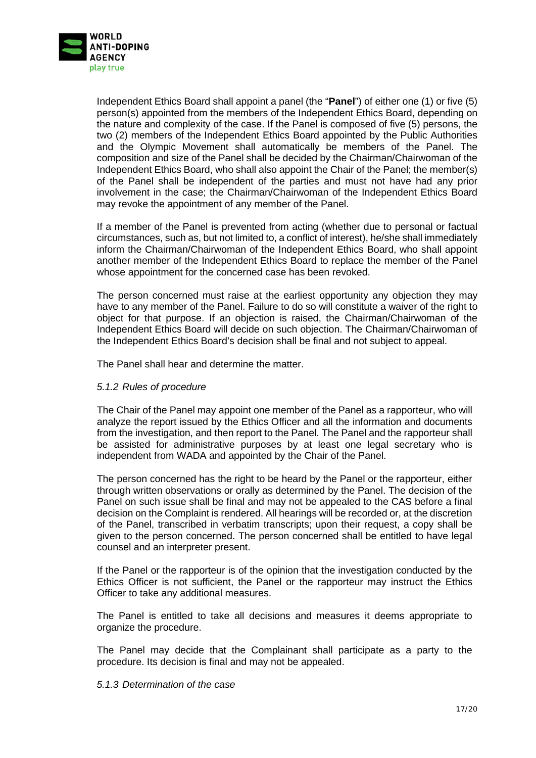

Independent Ethics Board shall appoint a panel (the "**Panel**") of either one (1) or five (5) person(s) appointed from the members of the Independent Ethics Board, depending on the nature and complexity of the case. If the Panel is composed of five (5) persons, the two (2) members of the Independent Ethics Board appointed by the Public Authorities and the Olympic Movement shall automatically be members of the Panel. The composition and size of the Panel shall be decided by the Chairman/Chairwoman of the Independent Ethics Board, who shall also appoint the Chair of the Panel; the member(s) of the Panel shall be independent of the parties and must not have had any prior involvement in the case; the Chairman/Chairwoman of the Independent Ethics Board may revoke the appointment of any member of the Panel.

If a member of the Panel is prevented from acting (whether due to personal or factual circumstances, such as, but not limited to, a conflict of interest), he/she shall immediately inform the Chairman/Chairwoman of the Independent Ethics Board, who shall appoint another member of the Independent Ethics Board to replace the member of the Panel whose appointment for the concerned case has been revoked.

The person concerned must raise at the earliest opportunity any objection they may have to any member of the Panel. Failure to do so will constitute a waiver of the right to object for that purpose. If an objection is raised, the Chairman/Chairwoman of the Independent Ethics Board will decide on such objection. The Chairman/Chairwoman of the Independent Ethics Board's decision shall be final and not subject to appeal.

The Panel shall hear and determine the matter.

## *5.1.2 Rules of procedure*

The Chair of the Panel may appoint one member of the Panel as a rapporteur, who will analyze the report issued by the Ethics Officer and all the information and documents from the investigation, and then report to the Panel. The Panel and the rapporteur shall be assisted for administrative purposes by at least one legal secretary who is independent from WADA and appointed by the Chair of the Panel.

The person concerned has the right to be heard by the Panel or the rapporteur, either through written observations or orally as determined by the Panel. The decision of the Panel on such issue shall be final and may not be appealed to the CAS before a final decision on the Complaint is rendered. All hearings will be recorded or, at the discretion of the Panel, transcribed in verbatim transcripts; upon their request, a copy shall be given to the person concerned. The person concerned shall be entitled to have legal counsel and an interpreter present.

If the Panel or the rapporteur is of the opinion that the investigation conducted by the Ethics Officer is not sufficient, the Panel or the rapporteur may instruct the Ethics Officer to take any additional measures.

The Panel is entitled to take all decisions and measures it deems appropriate to organize the procedure.

The Panel may decide that the Complainant shall participate as a party to the procedure. Its decision is final and may not be appealed.

#### <span id="page-16-0"></span>*5.1.3 Determination of the case*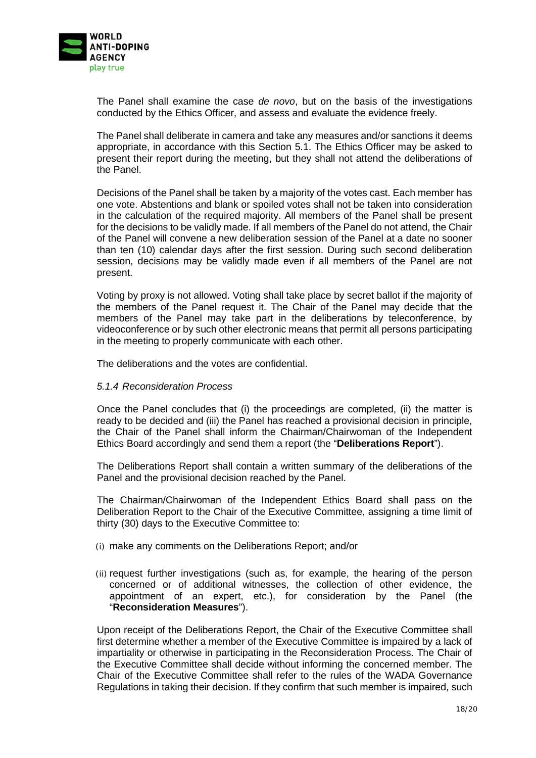

The Panel shall examine the case *de novo*, but on the basis of the investigations conducted by the Ethics Officer, and assess and evaluate the evidence freely.

The Panel shall deliberate in camera and take any measures and/or sanctions it deems appropriate, in accordance with this Section [5.1.](#page-15-0) The Ethics Officer may be asked to present their report during the meeting, but they shall not attend the deliberations of the Panel.

Decisions of the Panel shall be taken by a majority of the votes cast. Each member has one vote. Abstentions and blank or spoiled votes shall not be taken into consideration in the calculation of the required majority. All members of the Panel shall be present for the decisions to be validly made. If all members of the Panel do not attend, the Chair of the Panel will convene a new deliberation session of the Panel at a date no sooner than ten (10) calendar days after the first session. During such second deliberation session, decisions may be validly made even if all members of the Panel are not present.

Voting by proxy is not allowed. Voting shall take place by secret ballot if the majority of the members of the Panel request it. The Chair of the Panel may decide that the members of the Panel may take part in the deliberations by teleconference, by videoconference or by such other electronic means that permit all persons participating in the meeting to properly communicate with each other.

The deliberations and the votes are confidential.

#### *5.1.4 Reconsideration Process*

Once the Panel concludes that (i) the proceedings are completed, (ii) the matter is ready to be decided and (iii) the Panel has reached a provisional decision in principle, the Chair of the Panel shall inform the Chairman/Chairwoman of the Independent Ethics Board accordingly and send them a report (the "**Deliberations Report**").

The Deliberations Report shall contain a written summary of the deliberations of the Panel and the provisional decision reached by the Panel.

The Chairman/Chairwoman of the Independent Ethics Board shall pass on the Deliberation Report to the Chair of the Executive Committee, assigning a time limit of thirty (30) days to the Executive Committee to:

- (i) make any comments on the Deliberations Report; and/or
- (ii) request further investigations (such as, for example, the hearing of the person concerned or of additional witnesses, the collection of other evidence, the appointment of an expert, etc.), for consideration by the Panel (the "**Reconsideration Measures**").

Upon receipt of the Deliberations Report, the Chair of the Executive Committee shall first determine whether a member of the Executive Committee is impaired by a lack of impartiality or otherwise in participating in the Reconsideration Process. The Chair of the Executive Committee shall decide without informing the concerned member. The Chair of the Executive Committee shall refer to the rules of the WADA Governance Regulations in taking their decision. If they confirm that such member is impaired, such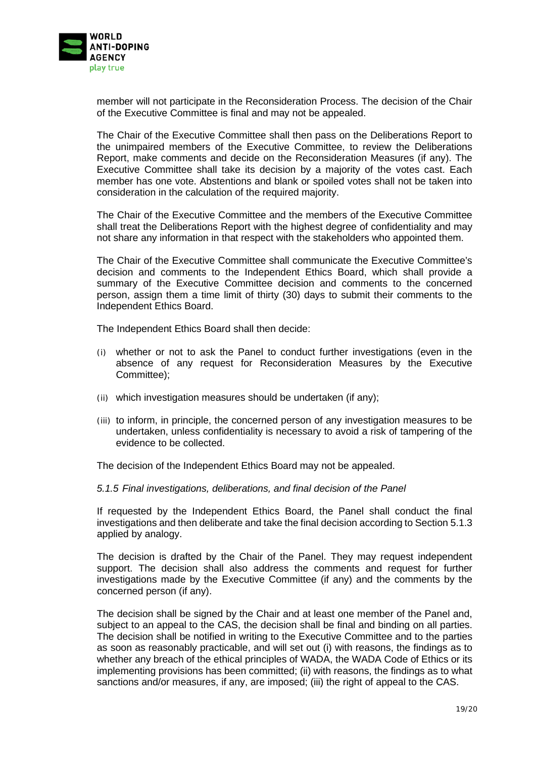

member will not participate in the Reconsideration Process. The decision of the Chair of the Executive Committee is final and may not be appealed.

The Chair of the Executive Committee shall then pass on the Deliberations Report to the unimpaired members of the Executive Committee, to review the Deliberations Report, make comments and decide on the Reconsideration Measures (if any). The Executive Committee shall take its decision by a majority of the votes cast. Each member has one vote. Abstentions and blank or spoiled votes shall not be taken into consideration in the calculation of the required majority.

The Chair of the Executive Committee and the members of the Executive Committee shall treat the Deliberations Report with the highest degree of confidentiality and may not share any information in that respect with the stakeholders who appointed them.

The Chair of the Executive Committee shall communicate the Executive Committee's decision and comments to the Independent Ethics Board, which shall provide a summary of the Executive Committee decision and comments to the concerned person, assign them a time limit of thirty (30) days to submit their comments to the Independent Ethics Board.

The Independent Ethics Board shall then decide:

- (i) whether or not to ask the Panel to conduct further investigations (even in the absence of any request for Reconsideration Measures by the Executive Committee);
- (ii) which investigation measures should be undertaken (if any);
- (iii) to inform, in principle, the concerned person of any investigation measures to be undertaken, unless confidentiality is necessary to avoid a risk of tampering of the evidence to be collected.

The decision of the Independent Ethics Board may not be appealed.

#### <span id="page-18-0"></span>*5.1.5 Final investigations, deliberations, and final decision of the Panel*

If requested by the Independent Ethics Board, the Panel shall conduct the final investigations and then deliberate and take the final decision according to Section [5.1.3](#page-16-0) applied by analogy.

The decision is drafted by the Chair of the Panel. They may request independent support. The decision shall also address the comments and request for further investigations made by the Executive Committee (if any) and the comments by the concerned person (if any).

The decision shall be signed by the Chair and at least one member of the Panel and, subject to an appeal to the CAS, the decision shall be final and binding on all parties. The decision shall be notified in writing to the Executive Committee and to the parties as soon as reasonably practicable, and will set out (i) with reasons, the findings as to whether any breach of the ethical principles of WADA, the WADA Code of Ethics or its implementing provisions has been committed; (ii) with reasons, the findings as to what sanctions and/or measures, if any, are imposed; (iii) the right of appeal to the CAS.